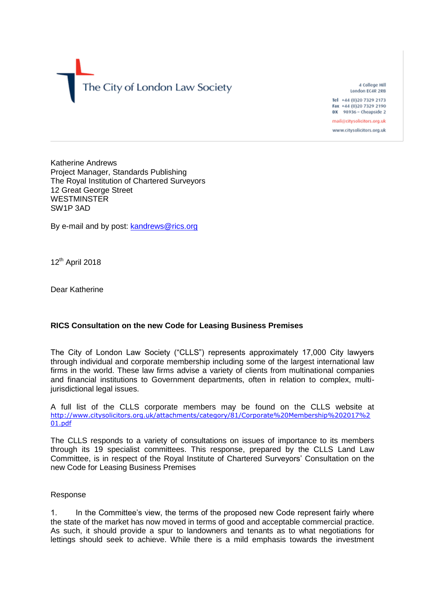

4 College Hill London EC4R 2RB Tel +44 (0)20 7329 2173

Fax +44 (0)20 7329 2190 DX 98936 - Cheapside 2

mail@citysolicitors.org.uk www.citysolicitors.org.uk

Katherine Andrews Project Manager, Standards Publishing The Royal Institution of Chartered Surveyors 12 Great George Street **WESTMINSTER** SW1P 3AD

By e-mail and by post: [kandrews@rics.org](mailto:kandrews@rics.org)

12<sup>th</sup> April 2018

Dear Katherine

## **RICS Consultation on the new Code for Leasing Business Premises**

The City of London Law Society ("CLLS") represents approximately 17,000 City lawyers through individual and corporate membership including some of the largest international law firms in the world. These law firms advise a variety of clients from multinational companies and financial institutions to Government departments, often in relation to complex, multijurisdictional legal issues.

A full list of the CLLS corporate members may be found on the CLLS website at [http://www.citysolicitors.org.uk/attachments/category/81/Corporate%20Membership%202017%2](http://www.citysolicitors.org.uk/attachments/category/81/Corporate%20Membership%202017%201.pdf) [01.pdf](http://www.citysolicitors.org.uk/attachments/category/81/Corporate%20Membership%202017%201.pdf)

The CLLS responds to a variety of consultations on issues of importance to its members through its 19 specialist committees. This response, prepared by the CLLS Land Law Committee, is in respect of the Royal Institute of Chartered Surveyors' Consultation on the new Code for Leasing Business Premises

## Response

1. In the Committee's view, the terms of the proposed new Code represent fairly where the state of the market has now moved in terms of good and acceptable commercial practice. As such, it should provide a spur to landowners and tenants as to what negotiations for lettings should seek to achieve. While there is a mild emphasis towards the investment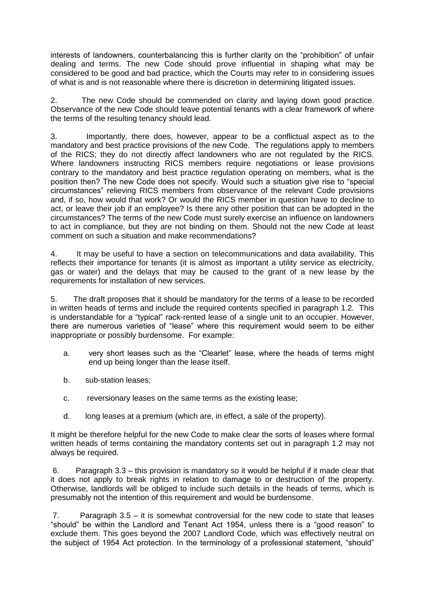interests of landowners, counterbalancing this is further clarity on the "prohibition" of unfair dealing and terms. The new Code should prove influential in shaping what may be considered to be good and bad practice, which the Courts may refer to in considering issues of what is and is not reasonable where there is discretion in determining litigated issues.

2. The new Code should be commended on clarity and laying down good practice. Observance of the new Code should leave potential tenants with a clear framework of where the terms of the resulting tenancy should lead.

3. Importantly, there does, however, appear to be a conflictual aspect as to the mandatory and best practice provisions of the new Code. The regulations apply to members of the RICS; they do not directly affect landowners who are not regulated by the RICS. Where landowners instructing RICS members require negotiations or lease provisions contrary to the mandatory and best practice regulation operating on members, what is the position then? The new Code does not specify. Would such a situation give rise to "special circumstances" relieving RICS members from observance of the relevant Code provisions and, if so, how would that work? Or would the RICS member in question have to decline to act, or leave their job if an employee? Is there any other position that can be adopted in the circumstances? The terms of the new Code must surely exercise an influence on landowners to act in compliance, but they are not binding on them. Should not the new Code at least comment on such a situation and make recommendations?

4. It may be useful to have a section on telecommunications and data availability. This reflects their importance for tenants (it is almost as important a utility service as electricity, gas or water) and the delays that may be caused to the grant of a new lease by the requirements for installation of new services.

5. The draft proposes that it should be mandatory for the terms of a lease to be recorded in written heads of terms and include the required contents specified in paragraph 1.2. This is understandable for a "typical" rack-rented lease of a single unit to an occupier. However, there are numerous varieties of "lease" where this requirement would seem to be either inappropriate or possibly burdensome. For example:

- a. very short leases such as the "Clearlet" lease, where the heads of terms might end up being longer than the lease itself.
- b. sub-station leases;
- c. reversionary leases on the same terms as the existing lease;
- d. long leases at a premium (which are, in effect, a sale of the property).

It might be therefore helpful for the new Code to make clear the sorts of leases where formal written heads of terms containing the mandatory contents set out in paragraph 1.2 may not always be required.

6. Paragraph 3.3 – this provision is mandatory so it would be helpful if it made clear that it does not apply to break rights in relation to damage to or destruction of the property. Otherwise, landlords will be obliged to include such details in the heads of terms, which is presumably not the intention of this requirement and would be burdensome.

7. Paragraph 3.5 – it is somewhat controversial for the new code to state that leases "should" be within the Landlord and Tenant Act 1954, unless there is a "good reason" to exclude them. This goes beyond the 2007 Landlord Code, which was effectively neutral on the subject of 1954 Act protection. In the terminology of a professional statement, "should"